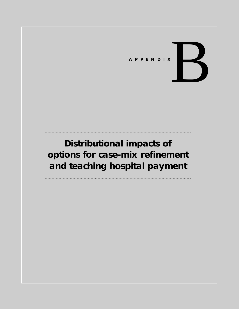# APPENDIX

# **Distributional impacts of options for case-mix refinement and teaching hospital payment**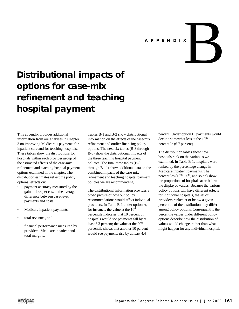

# **Distributional impacts of options for case-mix refinement and teaching hospital payment**

This appendix provides additional information from our analyses in Chapter 3 on improving Medicare's payments for inpatient care and for teaching hospitals. These tables show the distributions for hospitals within each provider group of the estimated effects of the case-mix refinement and teaching hospital payment options examined in the chapter. The distribution estimates reflect the policy options' effects on:

- payment accuracy measured by the gain or loss per case—the average difference between case-level payments and costs,
- Medicare inpatient payments,
- total revenues, and
- financial performance measured by providers' Medicare inpatient and total margins.

Tables B-1 and B-2 show distributional information on the effects of the case-mix refinement and outlier financing policy options. The next six tables (B-3 through B-8) show the distributional impacts of the three teaching hospital payment policies. The final three tables (B-9 through B-11) show additional data on the combined impacts of the case-mix refinement and teaching hospital payment policies we are recommending.

The distributional information provides a broad picture of how our policy recommendations would affect individual providers. In Table B-1 under option A, for instance, the value at the  $10<sup>th</sup>$ percentile indicates that 10 percent of hospitals would see payments fall by at least 8.3 percent; the value at the  $90<sup>th</sup>$ percentile shows that another 10 percent would see payments rise by at least 4.4

percent. Under option B, payments would decline somewhat less at the  $10<sup>th</sup>$ percentile (6.7 percent).

The distribution tables show how hospitals rank on the variables we examined. In Table B-1, hospitals were ranked by the percentage change in Medicare inpatient payments. The percentiles  $(10^{th}, 25^{th}, \text{ and so on})$  show the proportions of hospitals at or below the displayed values. Because the various policy options will have different effects for individual hospitals, the set of providers ranked at or below a given percentile of the distribution may differ among policy options. Consequently, the percentile values under different policy options describe how the distribution of values would change, rather than what might happen for any individual hospital.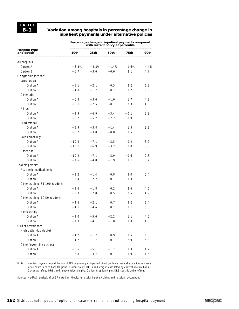### **Variation among hospitals in percentage change in inpatient payments under alternative policies**

**Percentage change in inpatient payments compared with current policy at percentile**

|                                 | with current policy at percentile |         |         |        |      |  |  |
|---------------------------------|-----------------------------------|---------|---------|--------|------|--|--|
| Hospital type<br>and option     | 10th                              | 25th    | 50th    | 75th   | 90th |  |  |
| All hospitals                   |                                   |         |         |        |      |  |  |
| Option A                        | $-8.3%$                           | $-4.8%$ | $-1.4%$ | 1.6%   | 4.4% |  |  |
| Option B                        | $-6.7$                            | $-3.6$  | $-0.6$  | 2.1    | 4.7  |  |  |
| Geographic location:            |                                   |         |         |        |      |  |  |
| Large urban                     |                                   |         |         |        |      |  |  |
| Option A                        | $-5.1$                            | $-2.1$  | 0.5     | 3.2    | 6.2  |  |  |
| Option B                        | $-4.0$                            | $-1.7$  | 0.7     | 3.2    | 5.5  |  |  |
| Other urban                     |                                   |         |         |        |      |  |  |
| Option A                        | $-6.4$                            | $-3.6$  | $-1.0$  | 1.7    | 4.3  |  |  |
| Option B                        | $-5.1$                            | $-2.5$  | $-0.1$  | 2.3    | 4.6  |  |  |
| All rural                       |                                   |         |         |        |      |  |  |
| Option A                        | $-9.9$                            | $-6.9$  | $-3.4$  | $-0.1$ | 2.8  |  |  |
| Option B                        | $-8.2$                            | $-5.2$  | $-2.2$  | 0.9    | 3.6  |  |  |
| Rural referral                  |                                   |         |         |        |      |  |  |
| Option A                        | $-5.9$                            | $-3.8$  | $-1.4$  | 1.3    | 3.2  |  |  |
| Option B                        | $-5.2$                            | $-3.0$  | $-0.8$  | 1.5    | 3.3  |  |  |
| Sole community                  |                                   |         |         |        |      |  |  |
| Option A                        | $-10.2$                           | $-7.1$  | $-3.5$  | 0.2    | 3.2  |  |  |
| Option B                        | $-10.1$                           | $-6.9$  | $-3.2$  | 0.0    | 3.3  |  |  |
| Other rural                     |                                   |         |         |        |      |  |  |
| Option A                        | $-10.2$                           | $-7.1$  | $-3.9$  | $-0.6$ | 2.3  |  |  |
| Option B                        | $-7.6$                            | $-4.8$  | $-1.9$  | 1.1    | 3.7  |  |  |
| Teaching status:                |                                   |         |         |        |      |  |  |
| Academic medical center         |                                   |         |         |        |      |  |  |
| Option A                        | $-3.2$                            | $-1.4$  | 0.8     | 3.0    | 5.4  |  |  |
| Option B                        | $-3.4$                            | $-2.2$  | $-0.1$  | 1.3    | 3.9  |  |  |
| Other teaching 51-100 residents |                                   |         |         |        |      |  |  |
| Option A                        | $-3.6$                            | $-1.8$  | 0.2     | 2.6    | 4.6  |  |  |
| Option B                        | $-3.3$                            | $-2.0$  | 0.5     | 2.5    | 4.9  |  |  |
| Other teaching 10-50 residents  |                                   |         |         |        |      |  |  |
| Option A                        | $-4.6$                            | $-2.1$  | 0.7     | 3.2    | 6.4  |  |  |
| Option B                        | $-4.1$                            | $-4.6$  | 0.7     | 3.1    | 5.3  |  |  |
| Nonteaching                     |                                   |         |         |        |      |  |  |
| Option A                        | $-9.0$                            | $-5.6$  | $-2.2$  | 1.1    | 4.0  |  |  |
| Option B                        | $-1.3$                            | $-4.1$  | $-1.0$  | 1.8    | 4.5  |  |  |
| Outlier prevalence:             |                                   |         |         |        |      |  |  |
| High outlier (top decile)       |                                   |         |         |        |      |  |  |
| Option A                        | $-4.2$                            | $-1.7$  | 0.9     | 3.5    | 6.8  |  |  |
| Option B                        | $-4.2$                            |         | 0.7     | 2.9    |      |  |  |
| Other (lower nine deciles)      |                                   | $-1.7$  |         |        | 5.8  |  |  |
| Option A                        | $-8.5$                            | $-5.1$  | $-1.7$  | 1.3    | 4.2  |  |  |
| Option B                        | $-6.8$                            | $-3.7$  |         | 1.9    |      |  |  |
|                                 |                                   |         | $-0.7$  |        | 4.5  |  |  |

Note: Inpatient payments equal the sum of PPS payments plus inpatient direct graduate medical education payments for all cases in each hospital group. Current policy: DRGs and weights calculated by conventional methods. Option A: refined DRGs and relative value weights. Option B: option A plus DRG-specific outlier offsets.

Source: MedPAC analysis of 1997 data from Medicare hospital inpatient claims and hospitals' cost reports.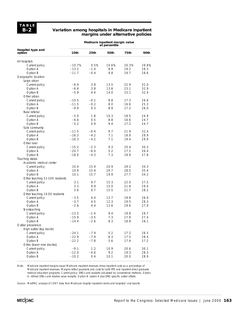### **Variation among hospitals in Medicare inpatient margins under alternative policies**

|                                 | Medicare inpatient margin value<br>at percentile |        |       |       |       |  |  |
|---------------------------------|--------------------------------------------------|--------|-------|-------|-------|--|--|
| Hospital type and<br>option     | 10th                                             | 25th   | 50th  | 75th  | 90th  |  |  |
| All hospitals                   |                                                  |        |       |       |       |  |  |
| Current policy                  | $-10.7%$                                         | 0.5%   | 10.6% | 20.3% | 29.8% |  |  |
| Option A                        | $-13.2$                                          | $-1.4$ | 8.9   | 19.2  | 28.3  |  |  |
| Option B                        | $-11.7$                                          | $-0.4$ | 9.8   | 19.7  | 28.6  |  |  |
| Geographic location:            |                                                  |        |       |       |       |  |  |
| Large urban                     |                                                  |        |       |       |       |  |  |
| Current policy                  | $-6.9$                                           | 3.9    | 13.5  | 22.9  | 32.0  |  |  |
| Option A                        | $-6.4$                                           | 3.8    | 13.6  | 23.1  | 32.9  |  |  |
| Option B                        | $-5.9$                                           | 4.4    | 14.0  | 23.1  | 32.4  |  |  |
| Other urban                     |                                                  |        |       |       |       |  |  |
| Current policy                  | $-10.5$                                          | $-0.1$ | 8.8   | 17.3  | 26.8  |  |  |
| Option A                        | $-11.5$                                          | $-0.2$ | 8.0   | 16.6  | 25.3  |  |  |
| Option B                        | $-9.9$                                           | 0.3    | 8.9   | 17.2  | 26.0  |  |  |
| Rural referral                  |                                                  |        |       |       |       |  |  |
| Current policy                  | $-5.0$                                           | 1.8    | 10.3  | 18.5  | 24.9  |  |  |
| Option A                        | $-6.6$                                           | 0.5    | 8.8   | 16.6  | 24.7  |  |  |
| Option B                        | $-5.2$                                           | 0.9    | 9.4   | 17.2  | 24.7  |  |  |
| Sole community                  |                                                  |        |       |       |       |  |  |
| Current policy                  | $-11.5$                                          | $-0.4$ | 9.7   | 21.9  | 32.4  |  |  |
| Option A                        | $-16.3$                                          | $-4.2$ | 7.1   | 18.9  | 28.9  |  |  |
| Option B                        | $-16.3$                                          | $-4.2$ | 7.1   | 19.4  | 29.9  |  |  |
| Other rural                     |                                                  |        |       |       |       |  |  |
| Current policy                  | $-15.2$                                          | $-2.3$ | 9.3   | 20.4  | 30.3  |  |  |
| Option A                        | $-20.7$                                          | $-6.0$ | 5.2   | 17.2  | 26.4  |  |  |
| Option B                        | $-18.0$                                          | $-4.3$ | 7.3   | 18.9  | 27.8  |  |  |
| Teaching status:                |                                                  |        |       |       |       |  |  |
| Academic medical center         |                                                  |        |       |       |       |  |  |
| Current policy                  | 10.4                                             | 15.9   | 20.9  | 29.2  | 34.3  |  |  |
| Option A                        | 10.9                                             | 15.9   | 20.7  | 28.5  | 35.4  |  |  |
| Option B                        | 10.1                                             | 15.7   | 19.9  | 27.7  | 34.2  |  |  |
| Other teaching 51-100 residents |                                                  |        |       |       |       |  |  |
| Current policy                  | 3.1                                              | 9.7    | 15.3  | 22.0  | 27.5  |  |  |
| Option A                        | 3.3                                              | 9.9    | 15.0  | 21.8  | 29.4  |  |  |
| Option B                        | 3.6                                              | 9.7    | 15.5  | 21.7  | 28.2  |  |  |
| Other teaching 10-50 residents  |                                                  |        |       |       |       |  |  |
| Current policy                  | $-3.5$                                           | 4.4    | 12.7  | 19.8  | 26.9  |  |  |
| Option A                        | $-3.7$                                           | 4.5    | 12.3  | 19.5  | 28.3  |  |  |
| Option B                        | $-2.6$                                           | 4.4    | 12.6  | 19.6  | 27.9  |  |  |
| Nonteaching                     |                                                  |        |       |       |       |  |  |
| Current policy                  | $-12.5$                                          | $-1.4$ | 9.4   | 19.8  | 29.7  |  |  |
| Option A                        | -15.9                                            | $-3.5$ | 1.3   | 17.9  | 27.4  |  |  |
| Option B                        | $-14.4$                                          | $-2.6$ | 8.3   | 18.8  | 28.1  |  |  |
| Outlier prevalence:             |                                                  |        |       |       |       |  |  |
| High outlier (top decile)       |                                                  |        |       |       |       |  |  |
| Current policy                  | $-24.1$                                          | $-7.9$ | 5.2   | 17.2  | 26.5  |  |  |
| Option A                        | $-22.9$                                          | $-7.9$ | 6.3   | 17.5  | 28.4  |  |  |
| Option B                        | $-22.2$                                          | $-7.8$ | 5.6   | 17.4  | 27.2  |  |  |
| Other (lower nine deciles)      |                                                  |        |       |       |       |  |  |
| Current policy                  | $-9.1$                                           | 1.2    | 10.9  | 20.6  | 30.1  |  |  |
| Option A                        | $-12.0$                                          | $-0.6$ | 9.2   | 19.3  | 28.3  |  |  |
| Option B                        | $-10.2$                                          | 0.4    | 10.1  | 20.0  | 28.9  |  |  |
|                                 |                                                  |        |       |       |       |  |  |

Note: Medicare inpatient margins equal Medicare inpatient revenues minus inpatient costs as a percentage of Medicare inpatient revenues. Margins reflect payments and costs for both PPS and inpatient direct graduate medical education programs. Current policy: DRGs and weights calculated by conventional methods. Option A: refined DRGs and relative value weights. Option B: option A plus DRG-specific outlier offsets.

Source: MedPAC analysis of 1997 data from Medicare hospital inpatient claims and hospitals' cost reports.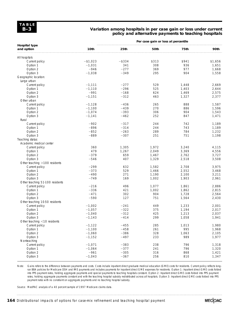### **Variation among hospitals in per case gain or loss under current policy and alternative payments to teaching hospitals**

|                                    |            | Per case gain or loss at percentile |       |       |         |
|------------------------------------|------------|-------------------------------------|-------|-------|---------|
| <b>Hospital type</b><br>and option | 10th       | 25th                                | 50th  | 75th  | 90th    |
| All hospitals                      |            |                                     |       |       |         |
| Current policy                     | $- $1,023$ | $-$ \$334                           | \$313 | \$941 | \$1,656 |
| Option 1                           | $-1,031$   | 341                                 | 308   | 936   | 1,651   |
| Option 2                           | $-946$     | $-277$                              | 369   | 977   | 1,668   |
| Option 3                           | $-1,038$   | $-349$                              | 295   | 904   | 1,558   |
| Geographic location:               |            |                                     |       |       |         |
| Large urban                        |            |                                     |       |       |         |
| Current policy                     | $-1,111$   | $-277$                              | 529   | 1,448 | 2,669   |
| Option 1                           | $-1,110$   | $-296$                              | 525   | 1,403 | 2,644   |
| Option 2                           | $-991$     | $-168$                              | 624   | 1,469 | 2,575   |
| Option 3                           | $-1,151$   | $-312$                              | 463   | 1,327 | 2,377   |
| Other urban                        |            |                                     |       |       |         |
| Current policy                     | $-1,128$   | $-436$                              | 265   | 888   | 1,587   |
| Option 1                           | $-1,100$   | $-439$                              | 270   | 886   | 1,596   |
|                                    | $-1,074$   | $-393$                              | 306   | 904   | 1,543   |
| Option 2                           |            | $-462$                              | 252   |       |         |
| Option 3                           | $-1,141$   |                                     |       | 847   | 1,471   |
| Rural                              |            |                                     |       |       |         |
| Current policy                     | $-902$     | $-317$                              | 244   | 742   | 1,189   |
| Option 1                           | $-896$     | $-314$                              | 244   | 743   | 1,189   |
| Option 2                           | $-852$     | $-263$                              | 289   | 784   | 1,232   |
| Option 3                           | $-889$     | $-307$                              | 251   | 751   | 1,198   |
| Teaching status:                   |            |                                     |       |       |         |
| Academic medical center            |            |                                     |       |       |         |
| Current policy                     | 360        | 1,305                               | 1,972 | 3,240 | 4,115   |
| Option 1                           | 479        | 1,267                               | 2,049 | 3,369 | 4,556   |
| Option 2                           | $-379$     | 659                                 | 1,467 | 2,762 | 3,727   |
| Option 3                           | $-546$     | 407                                 | 1,329 | 2,518 | 3,508   |
| Other teaching >100 residents      |            |                                     |       |       |         |
| Current policy                     | $-299$     | 632                                 | 1,582 | 2,708 | 3,975   |
| Option 1                           | $-373$     | 529                                 | 1,466 | 2,552 | 3,468   |
| Option 2                           | $-490$     | 271                                 | 1,190 | 2,100 | 3,211   |
| Option 3                           | $-749$     | 169                                 | 1,002 | 1,903 | 2,961   |
| Other teaching 51-100 residents    |            |                                     |       |       |         |
| Current policy                     | $-216$     | 496                                 | 1,077 | 1,861 | 2,886   |
| Option 1                           | $-336$     | 421                                 | 1,002 | 1,862 | 2,815   |
| Option 2                           | $-471$     | 302                                 | 904   | 1,728 | 2,564   |
| Option 3                           | $-590$     | 127                                 | 751   | 1,564 | 2,430   |
| Other teaching 10-50 residents     |            |                                     |       |       |         |
| Current policy                     | $-1,002$   | $-241$                              | 449   | 1,233 | 2,001   |
| Option 1                           | $-1,057$   | $-322$                              | 375   | 1,194 | 2,017   |
| Option 2                           | $-1,040$   | $-312$                              | 425   | 1,213 | 2,037   |
| Option 3                           | $-1,143$   | $-414$                              | 299   | 1,058 | 1,941   |
| Other teaching <10 residents       |            |                                     |       |       |         |
| Current policy                     | $-1,122$   | $-455$                              | 285   | 1,013 | 1,980   |
| Option 1                           | $-1,100$   | $-458$                              | 261   | 995   | 1,968   |
| Option 2                           | $-1,060$   | $-386$                              | 328   | 1,063 | 2,105   |
| Option 3                           | $-1,152$   | $-497$                              | 233   | 989   | 1,977   |
| Nonteaching                        |            |                                     |       |       |         |
| Current policy                     | $-1,071$   | $-383$                              | 238   | 796   | 1,318   |
|                                    | $-1.064$   | $-377$                              | 241   | 796   |         |
| Option 1                           | $-961$     |                                     |       |       | 1,320   |
| Option 2                           |            | $-305$                              | 316   | 868   | 1,421   |
| Option 3                           | $-1,043$   | $-367$                              | 256   | 810   | 1,347   |

Note: Gains refers to the difference between payments and costs. Costs include inpatient direct graduate medical education (GME) costs for residents. Current policy reflects longrun BBA policies for Medicare DSH and IME payments and includes payments for inpatient direct GME expenses for residents. Option 1: Inpatient direct GME costs folded into PPS payment rates, holding aggregate payments and special payments to teaching hospitals constant. Option 2: Inpatient direct GME costs folded into PPS payment rates, holding aggregate payments constant and with the teaching hospital subsidy redistributed across all hospitals. Option 3: Inpatient direct GME costs folded into PPS payment rates with no constraint on aggregate payments and no teaching hospital subsidy.

Source: MedPAC analysis of a 40 percent sample of 1997 Medicare claims data.

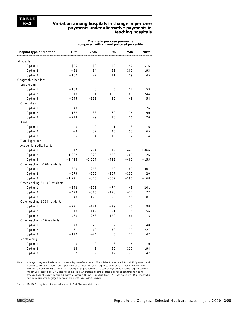### **Variation among hospitals in change in per case payments under alternative payments to teaching hospitals**

|                                 | compared with current policy at percentile |            |            |        |        |  |  |  |
|---------------------------------|--------------------------------------------|------------|------------|--------|--------|--|--|--|
| Hospital type and option        | 10th                                       | 25th       | 50th       | 75th   | 90th   |  |  |  |
| All hospitals                   |                                            |            |            |        |        |  |  |  |
| Option 1                        | $-$ \$25                                   | \$0        | \$2        | \$7    | \$16   |  |  |  |
| Option 2                        | $-52$                                      | 34         | 53         | 101    | 193    |  |  |  |
| Option 3                        | $-167$                                     | $-2$       | 11         | 19     | 45     |  |  |  |
| Geographic location:            |                                            |            |            |        |        |  |  |  |
| Large urban                     |                                            |            |            |        |        |  |  |  |
| Option 1                        | $-169$                                     | 0          | 5          | 12     | 53     |  |  |  |
| Option 2                        | $-318$                                     | 51         | 168        | 203    | 244    |  |  |  |
| Option 3                        | $-545$                                     | $-113$     | 39         | 48     | 58     |  |  |  |
| Other urban                     |                                            |            |            |        |        |  |  |  |
| Option 1                        | $-49$                                      | 0          | 5          | 10     | 26     |  |  |  |
| Option 2                        | $-137$                                     | 38         | 60         | 76     | 90     |  |  |  |
| Option 3                        | $-214$                                     | $-9$       | 13         | 16     | 20     |  |  |  |
| Rural                           |                                            |            |            |        |        |  |  |  |
| Option 1                        | 0                                          | 0          | 1          | 3      | 6      |  |  |  |
| Option 2                        | -3                                         | 32         | 43         | 53     | 65     |  |  |  |
| Option 3                        | $-5$                                       | 4          | 10         | 12     | 14     |  |  |  |
| Teaching status:                |                                            |            |            |        |        |  |  |  |
| Academic medical center         |                                            |            |            |        |        |  |  |  |
| Option 1                        | $-617$                                     | $-294$     | 19         | 443    | 1.066  |  |  |  |
| Option 2                        | $-1,202$                                   | $-828$     | $-538$     | $-260$ | 26     |  |  |  |
| Option 3                        | $-1,436$                                   | $-1,027$   | $-782$     | $-481$ | $-155$ |  |  |  |
| Other teaching >100 residents   |                                            |            |            |        |        |  |  |  |
| Option 1                        | $-620$                                     | $-266$     | $-59$      | 80     | 301    |  |  |  |
| Option 2                        | $-979$                                     | $-605$     | $-307$     | $-137$ | 20     |  |  |  |
| Option 3                        | $-1,221$                                   | $-845$     | $-507$     | $-290$ | $-168$ |  |  |  |
| Other teaching 51-100 residents |                                            |            |            |        |        |  |  |  |
| Option 1                        | $-342$                                     | $-173$     | $-74$      | 43     | 201    |  |  |  |
| Option 2                        | $-473$                                     | $-316$     | $-178$     | $-74$  | 77     |  |  |  |
| Option 3                        | $-640$                                     | $-473$     | $-320$     | $-196$ | $-101$ |  |  |  |
| Other teaching 10-50 residents  |                                            |            |            |        |        |  |  |  |
| Option 1                        | $-271$                                     | $-121$     | $-29$      | 40     | 98     |  |  |  |
| Option 2                        | $-318$                                     | $-149$     | $-21$      | 76     | 156    |  |  |  |
| Option 3                        | $-430$                                     | $-268$     | $-120$     | $-44$  | 5      |  |  |  |
| Other teaching <10 residents    |                                            |            |            |        |        |  |  |  |
| Option 1                        | $-73$                                      | $-20$      | $\sqrt{2}$ | 17     | 40     |  |  |  |
| Option 2                        | $-31$                                      | 40         | 79         | 179    | 227    |  |  |  |
| Option 3                        | $-112$                                     | $-24$      | 5          | 27     | 47     |  |  |  |
| Nonteaching                     |                                            |            |            |        |        |  |  |  |
| Option 1                        | $\bigcirc$                                 | $\bigcirc$ | 3          | 6      | 10     |  |  |  |
| Option 2                        | 18                                         | 41         | 56         | 110    | 194    |  |  |  |
| Option 3                        | $\sqrt{2}$                                 | 9          | 12         | 25     | 47     |  |  |  |

**Change in per case payments**

Note: Change in payments is relative to a current policy that reflects long-run BBA policies for Medicare DSH and IME payments and includes payments for inpatient direct graduate medical education (GME) expenses for residents. Option 1: Inpatient direct GME costs folded into PPS payment rates, holding aggregate payments and special payments to teaching hospitals constant. Option 2: Inpatient direct GME costs folded into PPS payment rates, holding aggregate payments constant and with the teaching hospital subsidy redistributed across all hospitals. Option 3: Inpatient direct GME costs folded into PPS payment rates with no constraint on aggregate payments and no teaching hospital subsidy.

Source: MedPAC analysis of a 40 percent sample of 1997 Medicare claims data.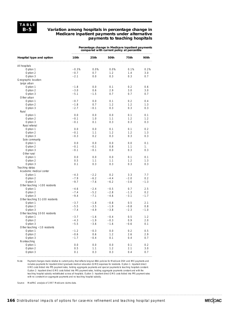### **Variation among hospitals in percentage change in Medicare inpatient payments under alternative payments to teaching hospitals**

**Percentage change in Medicare inpatient payments compared with current policy at percentile**

| Hospital type and option        | 10th    | 25th   | 50th   | 75th    | 90th   |
|---------------------------------|---------|--------|--------|---------|--------|
| All hospitals                   |         |        |        |         |        |
| Option 1                        | $-0.3%$ | 0.0%   | 0.0%   | 0.1%    | 0.2%   |
| Option 2                        | $-0.7$  | 0.7    | 1.2    | $1.4\,$ | 3.0    |
| Option 3                        | $-2.1$  | 0.0    | 0.3    | 0.3     | 0.7    |
| Geographic location:            |         |        |        |         |        |
| Large urban                     |         |        |        |         |        |
| Option 1                        | $-1.8$  | 0.0    | 0.1    | 0.2     | 0.6    |
| Option 2                        | $-3.0$  | 0.6    | 2.9    | 3.0     | 3.0    |
| Option 3                        | $-5.1$  | $-1.5$ | 0.7    | 0.7     | 0.7    |
| Other urban                     |         |        |        |         |        |
| Option 1                        | $-0.7$  | 0.0    | 0.1    | 0.2     | 0.4    |
| Option 2                        | $-1.8$  | 0.7    | 1.2    | 1.2     | 1.3    |
| Option 3                        | $-2.7$  | $-0.1$ | 0.3    | 0.3     | 0.3    |
| Rural                           |         |        |        |         |        |
| Option 1                        | 0.0     | 0.0    | 0.0    | 0.1     | 0.1    |
| Option 2                        | $-0.1$  | 1.0    | 1.1    | 1.2     | 1.2    |
|                                 | $-0.1$  |        |        |         |        |
| Option 3                        |         | 0.1    | 0.3    | 0.3     | 0.3    |
| Rural referral                  |         |        |        |         |        |
| Option 1                        | 0.0     | 0.0    | 0.1    | 0.1     | 0.2    |
| Option 2                        | $-0.1$  | 1.1    | 1.2    | 1.2     | 1.3    |
| Option 3                        | $-0.3$  | 0.2    | 0.3    | 0.3     | 0.3    |
| Sole community                  |         |        |        |         |        |
| Option 1                        | 0.0     | 0.0    | 0.0    | 0.0     | 0.1    |
| Option 2                        | $-0.1$  | $-0.1$ | 0.8    | 1.1     | 1.     |
| Option 3                        | $-0.1$  | $-0.1$ | $0.0$  | 0.3     | 0.3    |
| Other rural                     |         |        |        |         |        |
| Option 1                        | 0.0     | 0.0    | 0.0    | 0.1     | 0.1    |
| Option 2                        | 0.5     | 1.1    | 1.1    | 1.2     | 1.3    |
| Option 3                        | 0.1     | 0.3    | 0.3    | 0.3     | 0.3    |
| Teaching status:                |         |        |        |         |        |
| Academic medical center         |         |        |        |         |        |
| Option 1                        | $-4.3$  | $-2.2$ | 0.2    | 3.3     | 7.7    |
| Option 2                        | $-7.9$  | $-6.2$ | $-4.4$ | $-2.0$  | 0.2    |
| Option 3                        | $-9.7$  | $-7.6$ | $-6.2$ | $-3.6$  | $-1.3$ |
| Other teaching $>100$ residents |         |        |        |         |        |
| Option 1                        | $-4.6$  | $-2.4$ | $-0.5$ | 0.7     | 2.5    |
| Option 2                        | $-7.4$  | $-5.2$ | $-2.8$ | $-1.3$  | 0.2    |
| Option 3                        | $-9.4$  | $-7.1$ | $-4.6$ | $-3.1$  | $-1.7$ |
| Other teaching 51-100 residents |         |        |        |         |        |
| Option 1                        | $-3.7$  | $-1.8$ | $-0.8$ | 0.5     | 2.1    |
| Option 2                        | $-5.5$  | $-3.5$ | $-1.9$ | $-0.8$  | 0.8    |
| Option 3                        | $-7.4$  | $-4.9$ | $-3.8$ | $-2.3$  | $-1.0$ |
| Other teaching 10-50 residents  |         |        |        |         |        |
| Option 1                        | $-3.7$  | $-1.6$ | $-0.4$ | 0.5     | 1.2    |
| Option 2                        | $-4.3$  | $-1.9$ | $-0.3$ | 0.9     | 2.0    |
| Option 3                        | $-5.5$  | $-3.6$ | $-1.6$ | $-0.6$  | 0.1    |
| Other teaching $<$ 10 residents |         |        |        |         |        |
| Option 1                        | $-1.2$  | $-0.3$ | 0.0    | 0.2     | 0.5    |
| Option 2                        | $-0.6$  | 0.6    | 1.2    | 2.6     | 2.9    |
| Option 3                        | $-1.7$  | $-0.4$ | 0.1    | 0.4     | 0.7    |
| Nonteaching                     |         |        |        |         |        |
| Option 1                        | 0.0     | 0.0    | 0.0    | 0.1     | 0.2    |
| Option 2                        | 0.5     | 1.1    |        | 2.1     | 3.0    |
|                                 | 0.1     | 0.3    | 1.2    | 0.4     |        |
| Option 3                        |         |        | 0.3    |         | 0.7    |

Note: Payment changes made relative to current policy that reflects long-run BBA policies for Medicare DSH and IME payments and includes payments for inpatient direct graduate medical education (GME) expenses for residents. Option 1: Inpatient direct GME costs folded into PPS payment rates, holding aggregate payments and special payments to teaching hospitals constant. Option 2: Inpatient direct GME costs folded into PPS payment rates, holding aggregate payments constant and with the teaching hospital subsidy redistributed across all hospitals. Option 3: Inpatient direct GME costs folded into PPS payment rates with no constraint on aggregate payments and no teaching hospital subsidy.

Source: MedPAC analysis of 1997 Medicare claims data.

**166** Distributional impacts of options for case-mix refinement and teaching hospital payment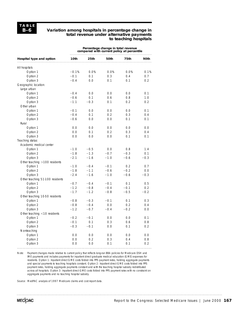### **Variation among hospitals in percentage change in total revenue under alternative payments to teaching hospitals**

|                                 | Percentage change in total revenue<br>compared with current policy at percentile |        |        |        |        |  |
|---------------------------------|----------------------------------------------------------------------------------|--------|--------|--------|--------|--|
| Hospital type and option        | 10th                                                                             | 25th   | 50th   | 75th   | 90th   |  |
| All hospitals                   |                                                                                  |        |        |        |        |  |
| Option 1                        | $-0.1%$                                                                          | 0.0%   | 0.0%   | 0.0%   | 0.1%   |  |
| Option 2                        | $-0.1$                                                                           | 0.1    | 0.3    | 0.4    | 0.7    |  |
| Option 3                        | $-0.4$                                                                           | 0.0    | 0.1    | 0.1    | 0.2    |  |
| Geographic location:            |                                                                                  |        |        |        |        |  |
| Large urban                     |                                                                                  |        |        |        |        |  |
| Option 1                        | $-0.4$                                                                           | 0.0    | 0.0    | 0.0    | 0.1    |  |
| Option 2                        | $-0.6$                                                                           | 0.1    | 0.6    | 0.8    | 1.0    |  |
| Option 3                        | $-1.1$                                                                           | $-0.3$ | 0.1    | 0.2    | 0.2    |  |
| Other urban                     |                                                                                  |        |        |        |        |  |
| Option 1                        | $-0.1$                                                                           | 0.0    | 0.0    | 0.0    | 0.1    |  |
| Option 2                        | $-0.4$                                                                           | 0.1    | 0.2    | 0.3    | 0.4    |  |
| Option 3                        | $-0.6$                                                                           | 0.0    | 0.0    | 0.1    | 0.1    |  |
| Rural                           |                                                                                  |        |        |        |        |  |
| Option 1                        | 0.0                                                                              | 0.0    | 0.0    | 0.0    | 0.0    |  |
| Option 2                        | 0.0                                                                              | 0.1    | 0.2    | 0.3    | 0.4    |  |
| Option 3                        | 0.0                                                                              | 0.0    | 0.0    | 0.1    | 0.1    |  |
| Teaching status:                |                                                                                  |        |        |        |        |  |
| Academic medical center         |                                                                                  |        |        |        |        |  |
| Option 1                        | $-1.0$                                                                           | $-0.5$ | 0.0    | 0.8    | 1.4    |  |
| Option 2                        | $-1.8$                                                                           | $-1.3$ | $-0.7$ | $-0.3$ | 0.1    |  |
| Option 3                        | $-2.1$                                                                           | $-1.6$ | $-1.0$ | $-0.6$ | $-0.3$ |  |
| Other teaching $>100$ residents |                                                                                  |        |        |        |        |  |
| Option 1                        | $-1.0$                                                                           | $-0.4$ | $-0.1$ | 0.2    | 0.7    |  |
| Option 2                        | $-1.8$                                                                           | $-1.1$ | $-0.6$ | $-0.2$ | 0.0    |  |
| Option 3                        | $-2.4$                                                                           | $-1.6$ | $-1.0$ | $-0.6$ | $-0.3$ |  |
| Other teaching 51-100 residents |                                                                                  |        |        |        |        |  |
| Option 1                        | $-0.7$                                                                           | $-0.4$ | $-0.1$ | 0.1    | 0.5    |  |
| Option 2                        | $-1.2$                                                                           | $-0.8$ | $-0.4$ | $-0.1$ | 0.2    |  |
| Option 3                        | $-1.7$                                                                           | $-1.2$ | $-0.8$ | $-0.5$ | $-0.2$ |  |
| Other teaching 10-50 residents  |                                                                                  |        |        |        |        |  |
| Option 1                        | $-0.8$                                                                           | $-0.3$ | $-0.1$ | 0.1    | 0.3    |  |
| Option 2                        | $-0.8$                                                                           | $-0.4$ | 0.0    | 0.2    | 0.4    |  |
| Option 3                        | $-1.2$                                                                           | $-0.7$ | $-0.4$ | $-0.2$ | 0.0    |  |
| Other teaching $<$ 10 residents |                                                                                  |        |        |        |        |  |
| Option 1                        | $-0.2$                                                                           | $-0.1$ | 0.0    | 0.0    | 0.1    |  |
| Option 2                        | $-0.1$                                                                           | 0.1    | 0.3    | 0.6    | 0.8    |  |
| Option 3                        | $-0.3$                                                                           | $-0.1$ | 0.0    | 0.1    | 0.2    |  |
|                                 |                                                                                  |        |        |        |        |  |
| Nonteaching                     | 0.0                                                                              | 0.0    | 0.0    | 0.0    | 0.0    |  |
| Option 1                        | 0.0                                                                              | 0.2    | 0.3    | 0.4    | 0.8    |  |
| Option 2                        |                                                                                  |        |        |        |        |  |
| Option 3                        | 0.0                                                                              | 0.0    | 0.1    | 0.1    | 0.2    |  |

Note: Payment changes made relative to current policy that reflects long-run BBA policies for Medicare DSH and IME payments and includes payments for inpatient direct graduate medical education (GME) expenses for residents. Option 1: Inpatient direct GME costs folded into PPS payment rates, holding aggregate payments and special payments to teaching hospitals constant. Option 2: Inpatient direct GME costs folded into PPS payment rates, holding aggregate payments constant and with the teaching hospital subsidy redistributed across all hospitals. Option 3: Inpatient direct GME costs folded into PPS payment rates with no constraint on aggregate payments and no teaching hospital subsidy.

Source: MedPAC analysis of 1997 Medicare claims and cost report data.

**MECOAC**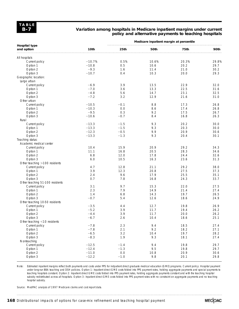## **Variation among hospitals in Medicare inpatient margins under current policy and alternative payments to teaching hospitals**

|                                    |          |        | Medicare inpatient margin at percentile |             |       |
|------------------------------------|----------|--------|-----------------------------------------|-------------|-------|
| <b>Hospital type</b><br>and option | 10th     | 25th   | 50th                                    | <b>75th</b> | 90th  |
| All hospitals                      |          |        |                                         |             |       |
| Current policy                     | $-10.7%$ | 0.5%   | 10.6%                                   | 20.3%       | 29.8% |
| Option 1                           | $-10.8$  | 0.5    | 10.6                                    | 20.2        | 29.7  |
| Option 2                           | $-9.3$   | 1.6    | 11.4                                    | 21.0        | 30.2  |
| Option 3                           | $-10.7$  | 0.4    | 10.3                                    | 20.0        | 29.3  |
| Geographic location:               |          |        |                                         |             |       |
| Large urban                        |          |        |                                         |             |       |
| Current policy                     | $-6.9$   | 3.9    | 13.5                                    | 22.9        | 32.0  |
| Option 1                           | $-7.0$   | 3.6    | 13.3                                    | 22.5        | 31.6  |
| Option 2                           | $-4.8$   | 5.6    | 14.7                                    | 23.1        | 32.5  |
| Option 3                           | $-7.2$   | 3.2    | 12.9                                    | 21.6        | 31.0  |
| Other urban                        |          |        |                                         |             |       |
| Current policy                     | $-10.5$  | $-0.1$ | 8.8                                     | 17.3        | 26.8  |
| Option 1                           | $-10.3$  | 0.0    | 8.6                                     | 17.4        | 26.8  |
|                                    | $-9.5$   | 0.3    | 9.2                                     | 17.5        | 26.7  |
| Option 2                           |          |        |                                         |             |       |
| Option 3                           | $-10.6$  | $-0.7$ | 8.4                                     | 16.8        | 26.3  |
| Rural                              |          |        |                                         |             |       |
| Current policy                     | $-13.3$  | $-1.5$ | 9.3                                     | 20.2        | 30.0  |
| Option 1                           | $-13.3$  | $-1.5$ | 9.3                                     | 20.3        | 30.0  |
| Option 2                           | $-12.3$  | $-0.5$ | 9.9                                     | 20.9        | 30.6  |
| Option 3                           | $-13.3$  | $-1.3$ | 9.3                                     | 20.4        | 30.1  |
| Teaching status:                   |          |        |                                         |             |       |
| Academic medical center            |          |        |                                         |             |       |
| Current policy                     | 10.4     | 15.9   | 20.9                                    | 29.2        | 34.3  |
| Option 1                           | 11.1     | 16.8   | 20.5                                    | 28.3        | 34.6  |
| Option 2                           | 6.8      | 12.0   | 17.8                                    | 24.4        | 32.6  |
| Option 3                           | 6.0      | 10.5   | 16.3                                    | 23.6        | 31.3  |
| Other teaching >100 residents      |          |        |                                         |             |       |
| Current policy                     | 4.7      | 12.8   | 21.1                                    | 29.2        | 38.0  |
| Option 1                           | 3.9      | 12.3   | 20.8                                    | 27.5        | 37.3  |
| Option 2                           | 2.4      | 9.6    | 17.9                                    | 25.5        | 35.1  |
| Option 3                           | 0.7      | 7.8    | 16.8                                    | 24.3        | 33.7  |
| Other teaching 51-100 residents    |          |        |                                         |             |       |
| Current policy                     | 3.1      | 9.7    | 15.3                                    | 22.0        | 27.5  |
| Option 1                           | 2.3      | 7.9    | 14.9                                    | 21.4        | 27.4  |
| Option 2                           | 1.4      | 6.8    | 14.3                                    | 19.7        | 26.5  |
| Option 3                           | $-0.7$   | 5.4    | 12.6                                    | 18.6        | 24.9  |
| Other teaching 10-50 residents     |          |        |                                         |             |       |
| Current policy                     | $-3.5$   | 4.4    | 12.7                                    | 19.8        | 26.9  |
| Option 1                           | $-5.2$   | 3.9    | 11.7                                    | 19.4        | 26.2  |
| Option 2                           | $-4.4$   | 3.9    | 11.7                                    | 20.0        | 26.2  |
| Option 3                           | $-6.7$   | 2.6    | 10.4                                    | 18.6        | 25.1  |
| Other teaching <10 residents       |          |        |                                         |             |       |
| Current policy                     | $-7.8$   | 2.3    | 9.4                                     | 18.5        | 27.4  |
| Option 1                           | $-7.8$   | 2.1    | 9.2                                     | 18.2        | 27.1  |
| Option 2                           | $-6.5$   | 3.2    | 10.4                                    | 19.7        | 28.2  |
| Option 3                           | $-8.3$   | 1.9    | 9.3                                     | 18.1        | 27.4  |
| Nonteaching                        |          |        |                                         |             |       |
| Current policy                     | $-12.5$  | $-1.4$ | 9.4                                     | 19.8        | 29.7  |
| Option 1                           | $-12.4$  | $-1.3$ | 9.5                                     | 19.8        | 29.7  |
| Option 2                           | $-11.0$  | $0.0$  | 10.8                                    | 20.9        | 30.6  |
| Option 3                           | $-12.2$  | $-1.0$ | 9.8                                     | 20.1        | 29.8  |
|                                    |          |        |                                         |             |       |

Note: Estimated inpatient margins reflect both payments and costs under PPS for indpatient direct graduate medical education (GME) programs. Current policy: Hospital payment under long-run BBA teaching and DSH policies. Option 1: Inpatient direct GME costs folded into PPS payment rates, holding aggregate payments and special payments to teaching hospitals constant. Option 2: Inpatient direct GME costs folded into PPS payment rates, holding aggregate payments constant and with the teaching hospital subsidy redistributed across all hospitals. Option 3: Inpatient direct GME costs folded into PPS payment rates with no constraint on aggregate payments and no teaching hospital subsidy.

Source: MedPAC analysis of 1997 Medicare claims and cost report data.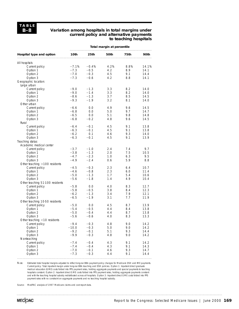### **Variation among hospitals in total margins under current policy and alternative payments to teaching hospitals**

|                                 | Total margin at percentile |         |      |      |       |  |  |
|---------------------------------|----------------------------|---------|------|------|-------|--|--|
| Hospital type and option        | 10th                       | 25th    | 50th | 75th | 90th  |  |  |
| All hospitals                   |                            |         |      |      |       |  |  |
| Current policy                  | $-7.1%$                    | $-0.4%$ | 4.2% | 8.8% | 14.1% |  |  |
| Option 1                        | $-7.3$                     | $-0.5$  | 4.2  | 8.9  | 14.1  |  |  |
| Option 2                        | $-7.0$                     | $-0.3$  | 4.5  | 9.1  | 14.4  |  |  |
| Option 3                        | $-7.3$                     | $-0.6$  | 4.2  | 8.8  | 14.1  |  |  |
| Geographic location:            |                            |         |      |      |       |  |  |
| Large urban                     |                            |         |      |      |       |  |  |
| Current policy                  | $-9.0$                     | $-1.3$  | 3.3  | 8.2  | 14.0  |  |  |
| Option 1                        | $-9.0$                     | $-1.4$  | 3.3  | 8.2  | 14.0  |  |  |
| Option 2                        | $-8.6$                     | $-1.3$  | 3.7  | 8.5  | 14.5  |  |  |
| Option 3                        | $-9.3$                     | $-1.9$  | 3.2  | 8.1  | 14.0  |  |  |
| Other urban                     |                            |         |      |      |       |  |  |
| Current policy                  | $-6.6$                     | 0.0     | 4.9  | 9.6  | 14.5  |  |  |
| Option 1                        | $-6.8$                     | 0.0     | 5.0  | 9.7  | 14.7  |  |  |
| Option 2                        | $-6.5$                     | 0.0     | 5.1  | 9.8  | 14.8  |  |  |
| Option 3                        | $-6.8$                     | $-0.2$  | 4.8  | 9.6  | 14.5  |  |  |
| Rural                           |                            |         |      |      |       |  |  |
| Current policy                  | $-6.4$                     | $-0.1$  | 4.5  | 9.1  | 13.8  |  |  |
| Option 1                        | $-6.3$                     | $-0.1$  | 4.5  | 9.1  | 13.8  |  |  |
| Option 2                        | $-6.2$                     | 0.1     | 4.6  | 9.3  | 14.0  |  |  |
| Option 3                        | $-6.3$                     | $-0.1$  | 4.5  | 9.1  | 13.9  |  |  |
| Teaching status:                |                            |         |      |      |       |  |  |
| Academic medical center         |                            |         |      |      |       |  |  |
| Current policy                  | $-3.7$                     | $-1.0$  | 2.4  | 7.4  | 9.7   |  |  |
| Option 1                        | $-3.8$                     | $-1.3$  | 2.0  | 7.5  | 10.5  |  |  |
| Option 2                        | $-4.7$                     | $-2.3$  | 1.0  | 6.3  | 9.5   |  |  |
| Option 3                        | $-4.9$                     | $-2.4$  | 0.6  | 5.9  | 8.8   |  |  |
| Other teaching >100 residents   |                            |         |      |      |       |  |  |
| Current policy                  | $-4.5$                     | $-0.3$  | 2.3  | 6.4  | 10.7  |  |  |
| Option 1                        | $-4.6$                     | $-0.8$  | 2.3  | 6.0  | 11.4  |  |  |
| Option 2                        | $-5.0$                     | $-1.3$  | 1.7  | 5.4  | 10.6  |  |  |
| Option 3                        | $-5.6$                     | $-1.8$  | 1.4  | 4.9  | 10.4  |  |  |
| Other teaching 51-100 residents |                            |         |      |      |       |  |  |
| Current policy                  | $-5.8$                     | 0.0     | 4.0  | 8.3  | 12.7  |  |  |
| Option 1                        | $-5.8$                     | $-0.5$  | 3.8  | 8.4  | 12.3  |  |  |
| Option 2                        | $-6.2$                     | $-1.3$  | 3.4  | 7.9  | 12.1  |  |  |
| Option 3                        | $-6.5$                     | $-1.9$  | 3.1  | 7.7  | 11.9  |  |  |
| Other teaching 10-50 residents  |                            |         |      |      |       |  |  |
| Current policy                  | $-5.0$                     | 0.0     | 4.5  | 8.7  | 13.9  |  |  |
| Option 1                        | $-5.4$                     | $-0.5$  | 4.4  | 8.4  | 13.8  |  |  |
| Option 2                        | $-5.0$                     | $-0.4$  | 4.4  | 8.7  | 13.8  |  |  |
| Option 3                        | $-5.6$                     | $-0.6$  | 4.0  | 8.3  | 13.3  |  |  |
| Other teaching <10 residents    |                            |         |      |      |       |  |  |
| Current policy                  | $-9.4$                     | $-0.3$  | 4.8  | 9.0  | 14.2  |  |  |
| Option 1                        | $-10.0$                    | $-0.3$  | 5.0  | 9.0  | 14.2  |  |  |
| Option 2                        | $-9.2$                     | $-0.1$  | 5.1  | 9.3  | 14.4  |  |  |
| Option 3                        | $-9.9$                     | $-0.3$  | 4.8  | 9.0  | 14.2  |  |  |
| Nonteaching                     |                            |         |      |      |       |  |  |
| Current policy                  | $-7.4$                     | $-0.4$  | 4.3  | 9.1  | 14.2  |  |  |
| Option 1                        | $-7.4$                     | $-0.4$  | 4.3  | 9.1  | 14.3  |  |  |
| Option 2                        | $-7.0$                     | $-0.1$  | 4.6  | 9.3  | 14.7  |  |  |
| Option 3                        | $-7.3$                     | $-0.3$  | 4.4  | 9.1  | 14.4  |  |  |

Note: Estimated total hospital margins adjusted to reflect long-run BBA payment policy changes for Medicare DSH and IME payments. Current policy: Total inpatient margin under long run BBA teaching and DSH policies. Option 1: Inpatient direct graduate<br>medical education (GME) costs folded into PPS payment rates, holding aggregate payments and special p hospitals constant. Option 2: Inpatient direct GME costs folded into PPS payment rates, holding aggregate payments constant and with the teaching hospital subsidy redistributed across all hospitals. Option 3: Inpatient direct GME costs folded into PPS payment rates with no constraint on aggregate payments and no teaching hospital subsidy.

Source: MedPAC analysis of 1997 Medicare claims and cost report data.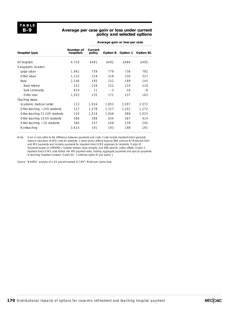### **Average per case gain or loss under current policy and selected options**

|                                 |                        | Average gain or loss per case |       |                   |                  |  |
|---------------------------------|------------------------|-------------------------------|-------|-------------------|------------------|--|
| Hospital type                   | Number of<br>hospitals | Current<br>policy             |       | Option B Option 1 | <b>Option B1</b> |  |
| All hospitals                   | 4,720                  | \$481                         | \$492 | \$484             | \$495            |  |
| Geographic location:            |                        |                               |       |                   |                  |  |
| Large urban                     | 1,481                  | 739                           | 779   | 736               | 782              |  |
| Other urban                     | 1,133                  | 319                           | 318   | 330               | 327              |  |
| Rural                           | 2,106                  | 185                           | 152   | 189               | 145              |  |
| Rural referral                  | 222                    | 229                           | 222   | 233               | 218              |  |
| Sole community                  | 619                    | 11                            | $-3$  | 16                | -8               |  |
| Other rural                     | 1.203                  | 235                           | 171   | 237               | 163              |  |
| Teaching status:                |                        |                               |       |                   |                  |  |
| Academic medical center         | 113                    | 1,924                         | 1,853 | 2,097             | 2,072            |  |
| Other teaching $>100$ residents | 127                    | 1.278                         | 1,327 | 1.201             | 1.272            |  |
| Other teaching 51-100 residents | 120                    | 1,016                         | 1,046 | 986               | 1,023            |  |
| Other teaching 10-50 residents  | 366                    | 386                           | 434   | 367               | 414              |  |
| Other teaching $<$ 10 residents | 380                    | 237                           | 248   | 239               | 245              |  |
| Nonteaching                     | 3,614                  | 191                           | 193   | 198               | 191              |  |

Note: Gain or loss refers to the difference between payments and costs. Costs include inpatient direct graduate medical education (GME) costs for residents. Current policy reflects long-run BBA policies for Medicare DSH and IME payments and includes payments for inpatient direct GME expenses for residents. Option B: Payments based on APR-DRGs, hospital relative value weights, and DRG-specific outlier offsets. Option 1: Inpatient direct GME costs folded into PPS payment rates, holding aggregate payments and special payments to teaching hospitals constant. Option B1: Combines option B and option 1.

Source: MedPAC analysis of a 40 percent sample of 1997 Medicare claims data.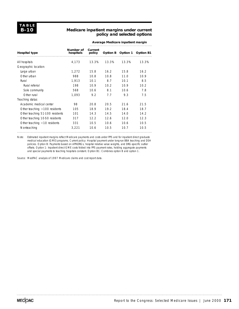## **Medicare inpatient margins under current policy and selected options**

| Average Medicare inpatient margin |  |
|-----------------------------------|--|
|                                   |  |

| <b>Hospital type</b>            | Number of<br>hospitals | Current<br>policy | Option B | Option 1    | <b>Option B1</b> |
|---------------------------------|------------------------|-------------------|----------|-------------|------------------|
| All hospitals                   | 4.173                  | 13.3%             | 13.3%    | 13.3%       | 13.3%            |
| Geographic location:            |                        |                   |          |             |                  |
| Large urban                     | 1.272                  | 15.8              | 16.2     | 15.8        | 16.2             |
| Other urban                     | 988                    | 10.8              | 10.8     | 11 $\Omega$ | 10.9             |
| Rural                           | 1.913                  | 10.1              | 8.7      | 10.1        | 8.5              |
| Rural referral                  | 198                    | 109               | 102      | 10.9        | 10.2             |
| Sole community                  | 568                    | 106               | 8.1      | 106         | 7.8              |
| Other rural                     | 1.093                  | 9.2               | 7.7      | 93          | 7.5              |
| Teaching status:                |                        |                   |          |             |                  |
| Academic medical center         | 98                     | 20 B              | 20.5     | 216         | 21.5             |
| Other teaching $>100$ residents | 105                    | 189               | 19.2     | 184         | 187              |
| Other teaching 51-100 residents | 101                    | 14 3              | 14.5     | 140         | 14.2             |
| Other teaching 10-50 residents  | 317                    | 12.2              | 12.6     | 12 O        | 12.3             |
| Other teaching $<$ 10 residents | 331                    | 10.5              | 106      | 10.6        | 10.5             |
| Nonteaching                     | 3.221                  | 10.6              | 10.5     | 10 7        | 10.5             |

Note: Estimated inpatient margins reflect Medicare payments and costs under PPS and for inpatient direct graduate medical education (GME) programs. Current policy: Hospital payment under long-run BBA teaching and DSH policies. Option B: Payments based on APR-DRGs, hospital relative value weights, and DRG-specific outlier offsets. Option 1: Inpatient direct GME costs folded into PPS payment rates, holding aggregate payments and special payments to teaching hospitals constant. Option B1: Combines option B and option 1.

Source: MedPAC analysis of 1997 Medicare claims and cost report data.

MECOAC